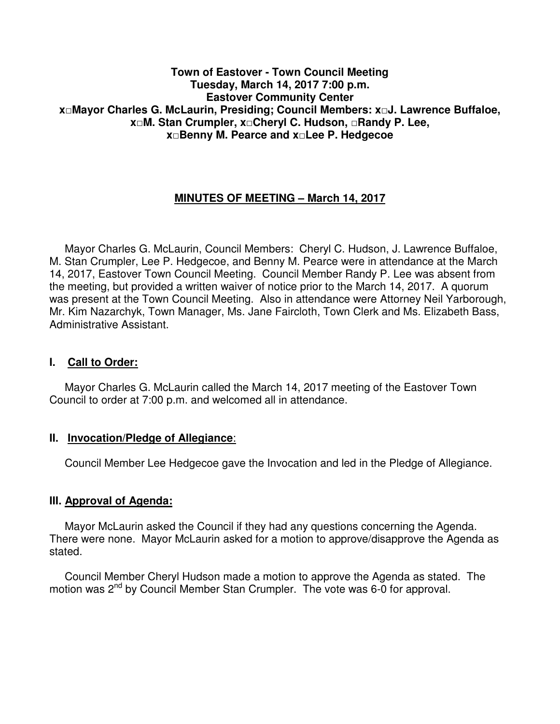#### **Town of Eastover - Town Council Meeting Tuesday, March 14, 2017 7:00 p.m. Eastover Community Center x□Mayor Charles G. McLaurin, Presiding; Council Members: x□J. Lawrence Buffaloe, x□M. Stan Crumpler, x□Cheryl C. Hudson, □Randy P. Lee, x□Benny M. Pearce and x□Lee P. Hedgecoe**

## **MINUTES OF MEETING – March 14, 2017**

 Mayor Charles G. McLaurin, Council Members: Cheryl C. Hudson, J. Lawrence Buffaloe, M. Stan Crumpler, Lee P. Hedgecoe, and Benny M. Pearce were in attendance at the March 14, 2017, Eastover Town Council Meeting. Council Member Randy P. Lee was absent from the meeting, but provided a written waiver of notice prior to the March 14, 2017. A quorum was present at the Town Council Meeting. Also in attendance were Attorney Neil Yarborough, Mr. Kim Nazarchyk, Town Manager, Ms. Jane Faircloth, Town Clerk and Ms. Elizabeth Bass, Administrative Assistant.

#### **I. Call to Order:**

 Mayor Charles G. McLaurin called the March 14, 2017 meeting of the Eastover Town Council to order at 7:00 p.m. and welcomed all in attendance.

#### **II. Invocation/Pledge of Allegiance**:

Council Member Lee Hedgecoe gave the Invocation and led in the Pledge of Allegiance.

#### **III. Approval of Agenda:**

 Mayor McLaurin asked the Council if they had any questions concerning the Agenda. There were none. Mayor McLaurin asked for a motion to approve/disapprove the Agenda as stated.

 Council Member Cheryl Hudson made a motion to approve the Agenda as stated. The motion was 2<sup>nd</sup> by Council Member Stan Crumpler. The vote was 6-0 for approval.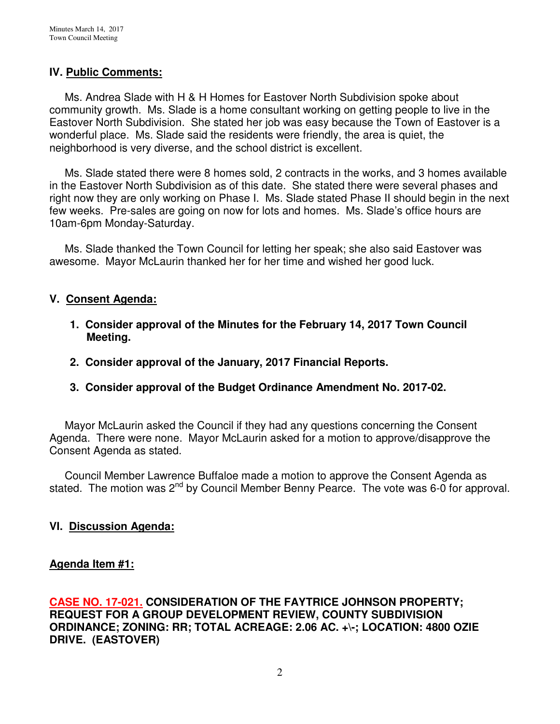### **IV. Public Comments:**

 Ms. Andrea Slade with H & H Homes for Eastover North Subdivision spoke about community growth. Ms. Slade is a home consultant working on getting people to live in the Eastover North Subdivision. She stated her job was easy because the Town of Eastover is a wonderful place. Ms. Slade said the residents were friendly, the area is quiet, the neighborhood is very diverse, and the school district is excellent.

 Ms. Slade stated there were 8 homes sold, 2 contracts in the works, and 3 homes available in the Eastover North Subdivision as of this date. She stated there were several phases and right now they are only working on Phase I. Ms. Slade stated Phase II should begin in the next few weeks. Pre-sales are going on now for lots and homes. Ms. Slade's office hours are 10am-6pm Monday-Saturday.

 Ms. Slade thanked the Town Council for letting her speak; she also said Eastover was awesome. Mayor McLaurin thanked her for her time and wished her good luck.

#### **V. Consent Agenda:**

- **1. Consider approval of the Minutes for the February 14, 2017 Town Council Meeting.**
- **2. Consider approval of the January, 2017 Financial Reports.**
- **3. Consider approval of the Budget Ordinance Amendment No. 2017-02.**

 Mayor McLaurin asked the Council if they had any questions concerning the Consent Agenda. There were none. Mayor McLaurin asked for a motion to approve/disapprove the Consent Agenda as stated.

 Council Member Lawrence Buffaloe made a motion to approve the Consent Agenda as stated. The motion was  $2^{nd}$  by Council Member Benny Pearce. The vote was 6-0 for approval.

## **VI. Discussion Agenda:**

#### **Agenda Item #1:**

**CASE NO. 17-021. CONSIDERATION OF THE FAYTRICE JOHNSON PROPERTY; REQUEST FOR A GROUP DEVELOPMENT REVIEW, COUNTY SUBDIVISION ORDINANCE; ZONING: RR; TOTAL ACREAGE: 2.06 AC. +\-; LOCATION: 4800 OZIE DRIVE. (EASTOVER)**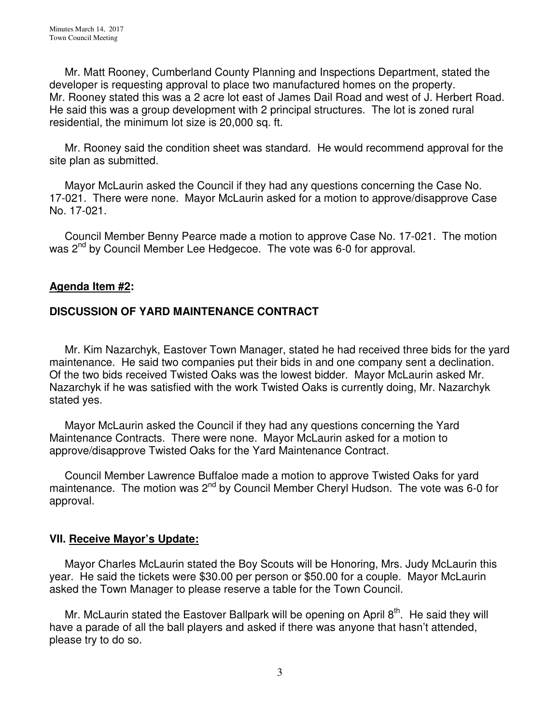Mr. Matt Rooney, Cumberland County Planning and Inspections Department, stated the developer is requesting approval to place two manufactured homes on the property. Mr. Rooney stated this was a 2 acre lot east of James Dail Road and west of J. Herbert Road. He said this was a group development with 2 principal structures. The lot is zoned rural residential, the minimum lot size is 20,000 sq. ft.

 Mr. Rooney said the condition sheet was standard. He would recommend approval for the site plan as submitted.

 Mayor McLaurin asked the Council if they had any questions concerning the Case No. 17-021. There were none. Mayor McLaurin asked for a motion to approve/disapprove Case No. 17-021.

 Council Member Benny Pearce made a motion to approve Case No. 17-021. The motion was 2<sup>nd</sup> by Council Member Lee Hedgecoe. The vote was 6-0 for approval.

#### **Agenda Item #2:**

## **DISCUSSION OF YARD MAINTENANCE CONTRACT**

 Mr. Kim Nazarchyk, Eastover Town Manager, stated he had received three bids for the yard maintenance. He said two companies put their bids in and one company sent a declination. Of the two bids received Twisted Oaks was the lowest bidder. Mayor McLaurin asked Mr. Nazarchyk if he was satisfied with the work Twisted Oaks is currently doing, Mr. Nazarchyk stated yes.

 Mayor McLaurin asked the Council if they had any questions concerning the Yard Maintenance Contracts. There were none. Mayor McLaurin asked for a motion to approve/disapprove Twisted Oaks for the Yard Maintenance Contract.

 Council Member Lawrence Buffaloe made a motion to approve Twisted Oaks for yard maintenance. The motion was 2<sup>nd</sup> by Council Member Cheryl Hudson. The vote was 6-0 for approval.

#### **VII. Receive Mayor's Update:**

 Mayor Charles McLaurin stated the Boy Scouts will be Honoring, Mrs. Judy McLaurin this year. He said the tickets were \$30.00 per person or \$50.00 for a couple. Mayor McLaurin asked the Town Manager to please reserve a table for the Town Council.

Mr. McLaurin stated the Eastover Ballpark will be opening on April  $8<sup>th</sup>$ . He said they will have a parade of all the ball players and asked if there was anyone that hasn't attended, please try to do so.